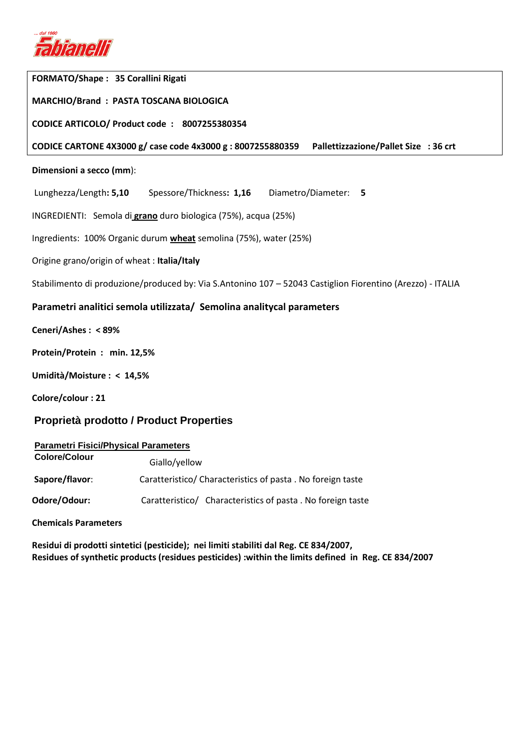

| <b>FORMATO/Shape: 35 Corallini Rigati</b>                                                                  |  |  |  |  |  |
|------------------------------------------------------------------------------------------------------------|--|--|--|--|--|
| MARCHIO/Brand: PASTA TOSCANA BIOLOGICA                                                                     |  |  |  |  |  |
| CODICE ARTICOLO/ Product code: 8007255380354                                                               |  |  |  |  |  |
| CODICE CARTONE 4X3000 g/ case code 4x3000 g : 8007255880359<br>Pallettizzazione/Pallet Size : 36 crt       |  |  |  |  |  |
| Dimensioni a secco (mm):                                                                                   |  |  |  |  |  |
| Lunghezza/Length: 5,10   Spessore/Thickness: 1,16   Diametro/Diameter: 5                                   |  |  |  |  |  |
| INGREDIENTI: Semola di <i>grano</i> duro biologica (75%), acqua (25%)                                      |  |  |  |  |  |
| Ingredients: 100% Organic durum <b>wheat</b> semolina (75%), water (25%)                                   |  |  |  |  |  |
| Origine grano/origin of wheat: Italia/Italy                                                                |  |  |  |  |  |
| Stabilimento di produzione/produced by: Via S.Antonino 107 – 52043 Castiglion Fiorentino (Arezzo) - ITALIA |  |  |  |  |  |
| Parametri analitici semola utilizzata/ Semolina analitycal parameters                                      |  |  |  |  |  |
| Ceneri/Ashes: <89%                                                                                         |  |  |  |  |  |
| Protein/Protein: min. 12,5%                                                                                |  |  |  |  |  |
| Umidità/Moisture: < 14,5%                                                                                  |  |  |  |  |  |
| Colore/colour: 21                                                                                          |  |  |  |  |  |
| Proprietà prodotto / Product Properties                                                                    |  |  |  |  |  |
|                                                                                                            |  |  |  |  |  |

| <b>Parametri Fisici/Physical Parameters</b> |                                                            |  |  |  |  |  |
|---------------------------------------------|------------------------------------------------------------|--|--|--|--|--|
| <b>Colore/Colour</b>                        | Giallo/yellow                                              |  |  |  |  |  |
| Sapore/flavor:                              | Caratteristico/ Characteristics of pasta. No foreign taste |  |  |  |  |  |
| Odore/Odour:                                | Caratteristico/ Characteristics of pasta. No foreign taste |  |  |  |  |  |

**Chemicals Parameters** 

**Residui di prodotti sintetici (pesticide); nei limiti stabiliti dal Reg. CE 834/2007, Residues of synthetic products (residues pesticides) :within the limits defined in Reg. CE 834/2007**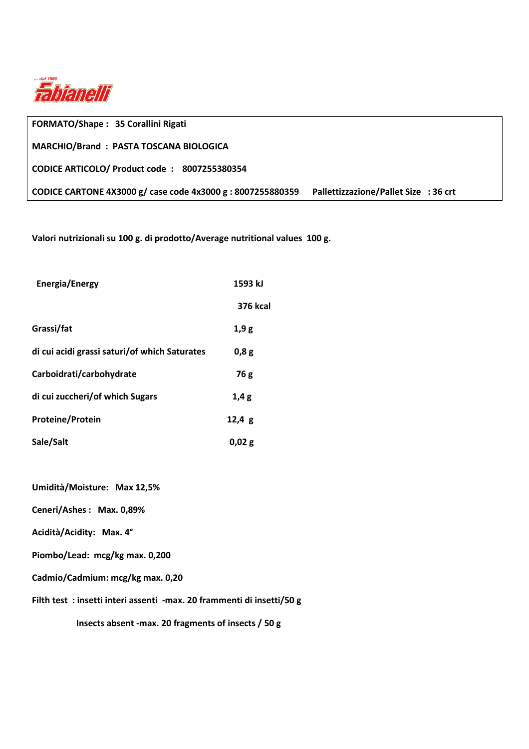

| <b>FORMATO/Shape: 35 Corallini Rigati</b>                   |                                       |
|-------------------------------------------------------------|---------------------------------------|
| MARCHIO/Brand: PASTA TOSCANA BIOLOGICA                      |                                       |
| CODICE ARTICOLO/ Product code: 8007255380354                |                                       |
| CODICE CARTONE 4X3000 g/ case code 4x3000 g : 8007255880359 | Pallettizzazione/Pallet Size : 36 crt |

**Valori nutrizionali su 100 g. di prodotto/Average nutritional values 100 g.** 

| <b>Energia/Energy</b>                         | 1593 kJ         |  |  |
|-----------------------------------------------|-----------------|--|--|
|                                               | <b>376 kcal</b> |  |  |
| Grassi/fat                                    | 1,9g            |  |  |
| di cui acidi grassi saturi/of which Saturates | 0,8g            |  |  |
| Carboidrati/carbohydrate                      | 76 g            |  |  |
| di cui zuccheri/of which Sugars               | 1,4g            |  |  |
| <b>Proteine/Protein</b>                       | 12,4g           |  |  |
| Sale/Salt                                     | 0,02 g          |  |  |

**Umidità/Moisture: Max 12,5%** 

**Ceneri/Ashes : Max. 0,89%** 

**Acidità/Acidity: Max. 4°** 

**Piombo/Lead: mcg/kg max. 0,200** 

**Cadmio/Cadmium: mcg/kg max. 0,20** 

**Filth test : insetti interi assenti -max. 20 frammenti di insetti/50 g** 

 **Insects absent -max. 20 fragments of insects / 50 g**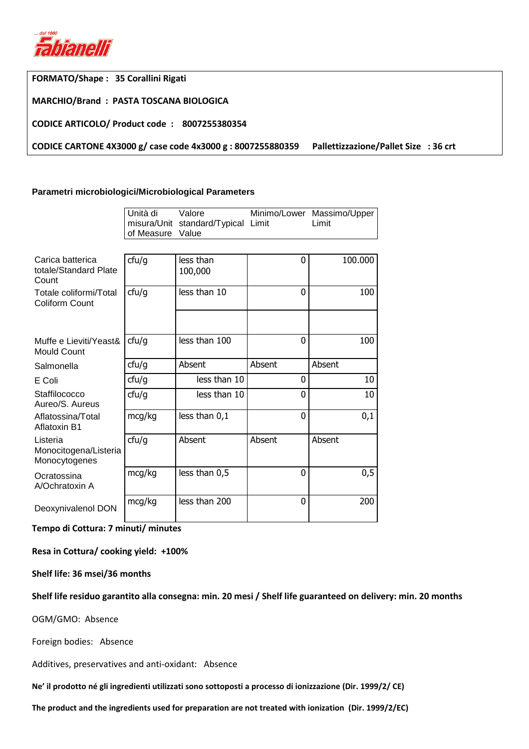

**FORMATO/Shape : 35 Corallini Rigati** 

**MARCHIO/Brand : PASTA TOSCANA BIOLOGICA** 

**CODICE ARTICOLO/ Product code : 8007255380354** 

**CODICE CARTONE 4X3000 g/ case code 4x3000 g : 8007255880359 Pallettizzazione/Pallet Size : 36 crt** 

## **Parametri microbiologici/Microbiological Parameters**

|                                                    | Unità di<br>misura/Unit<br>of Measure | Valore<br>standard/Typical Limit<br>Value |        | Minimo/Lower Massimo/Upper<br>Limit |  |
|----------------------------------------------------|---------------------------------------|-------------------------------------------|--------|-------------------------------------|--|
|                                                    |                                       |                                           |        |                                     |  |
| Carica batterica<br>totale/Standard Plate<br>Count | ctu/g                                 | less than<br>100,000                      | 0      | 100.000                             |  |
| Totale coliformi/Total<br><b>Coliform Count</b>    | ctu/g                                 | less than 10                              | 0      | 100                                 |  |
|                                                    |                                       |                                           |        |                                     |  |
| Muffe e Lieviti/Yeast&<br><b>Mould Count</b>       | ctu/g                                 | less than 100                             | 0      | 100                                 |  |
| Salmonella                                         | ctu/g                                 | Absent                                    | Absent | Absent                              |  |
| E Coli                                             | ctu/g                                 | less than 10                              | 0      | 10                                  |  |
| Staffilococco<br>Aureo/S. Aureus                   | ctu/g                                 | less than 10                              | 0      | 10                                  |  |
| Aflatossina/Total<br>Aflatoxin B1                  | mcg/kg                                | less than 0,1                             | 0      | 0,1                                 |  |
| Listeria<br>Monocitogena/Listeria<br>Monocytogenes | ctu/g                                 | Absent                                    | Absent | Absent                              |  |
| Ocratossina<br>A/Ochratoxin A                      | mcg/kg                                | less than 0,5                             | 0      | 0,5                                 |  |
| Deoxynivalenol DON                                 | mcg/kg                                | less than 200                             | 0      | 200                                 |  |

**Tempo di Cottura: 7 minuti/ minutes** 

**Resa in Cottura/ cooking yield: +100%** 

**Shelf life: 36 msei/36 months** 

**Shelf life residuo garantito alla consegna: min. 20 mesi / Shelf life guaranteed on delivery: min. 20 months** 

OGM/GMO: Absence

Foreign bodies: Absence

Additives, preservatives and anti-oxidant: Absence

**Ne' il prodotto né gli ingredienti utilizzati sono sottoposti a processo di ionizzazione (Dir. 1999/2/ CE)** 

**The product and the ingredients used for preparation are not treated with ionization (Dir. 1999/2/EC)**